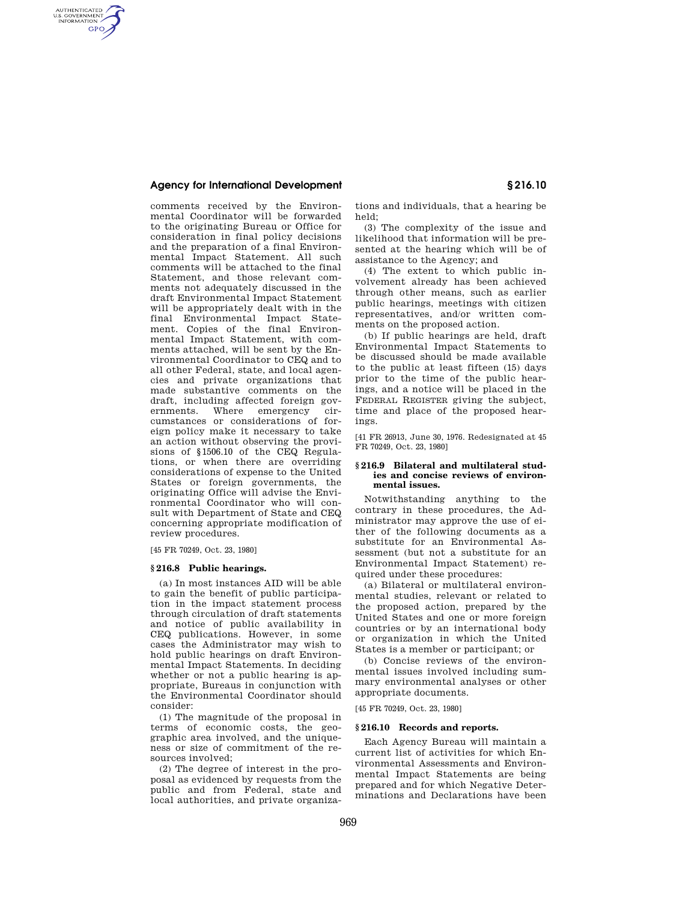# **Agency for International Development § 216.10**

AUTHENTICATED<br>U.S. GOVERNMENT<br>INFORMATION GPO

> comments received by the Environmental Coordinator will be forwarded to the originating Bureau or Office for consideration in final policy decisions and the preparation of a final Environmental Impact Statement. All such comments will be attached to the final Statement, and those relevant comments not adequately discussed in the draft Environmental Impact Statement will be appropriately dealt with in the final Environmental Impact Statement. Copies of the final Environmental Impact Statement, with comments attached, will be sent by the Environmental Coordinator to CEQ and to all other Federal, state, and local agencies and private organizations that made substantive comments on the draft, including affected foreign governments. Where emergency ciremergency cumstances or considerations of foreign policy make it necessary to take an action without observing the provisions of §1506.10 of the CEQ Regulations, or when there are overriding considerations of expense to the United States or foreign governments, the originating Office will advise the Environmental Coordinator who will consult with Department of State and CEQ concerning appropriate modification of review procedures.

[45 FR 70249, Oct. 23, 1980]

## **§ 216.8 Public hearings.**

(a) In most instances AID will be able to gain the benefit of public participation in the impact statement process through circulation of draft statements and notice of public availability in CEQ publications. However, in some cases the Administrator may wish to hold public hearings on draft Environmental Impact Statements. In deciding whether or not a public hearing is appropriate, Bureaus in conjunction with the Environmental Coordinator should consider:

(1) The magnitude of the proposal in terms of economic costs, the geographic area involved, and the uniqueness or size of commitment of the resources involved;

(2) The degree of interest in the proposal as evidenced by requests from the public and from Federal, state and local authorities, and private organiza-

tions and individuals, that a hearing be held;

(3) The complexity of the issue and likelihood that information will be presented at the hearing which will be of assistance to the Agency; and

(4) The extent to which public involvement already has been achieved through other means, such as earlier public hearings, meetings with citizen representatives, and/or written comments on the proposed action.

(b) If public hearings are held, draft Environmental Impact Statements to be discussed should be made available to the public at least fifteen (15) days prior to the time of the public hearings, and a notice will be placed in the FEDERAL REGISTER giving the subject, time and place of the proposed hearings.

[41 FR 26913, June 30, 1976. Redesignated at 45 FR 70249, Oct. 23, 1980]

## **§ 216.9 Bilateral and multilateral studies and concise reviews of environmental issues.**

Notwithstanding anything to the contrary in these procedures, the Administrator may approve the use of either of the following documents as a substitute for an Environmental Assessment (but not a substitute for an Environmental Impact Statement) required under these procedures:

(a) Bilateral or multilateral environmental studies, relevant or related to the proposed action, prepared by the United States and one or more foreign countries or by an international body or organization in which the United States is a member or participant; or

(b) Concise reviews of the environmental issues involved including summary environmental analyses or other appropriate documents.

[45 FR 70249, Oct. 23, 1980]

## **§ 216.10 Records and reports.**

Each Agency Bureau will maintain a current list of activities for which Environmental Assessments and Environmental Impact Statements are being prepared and for which Negative Determinations and Declarations have been